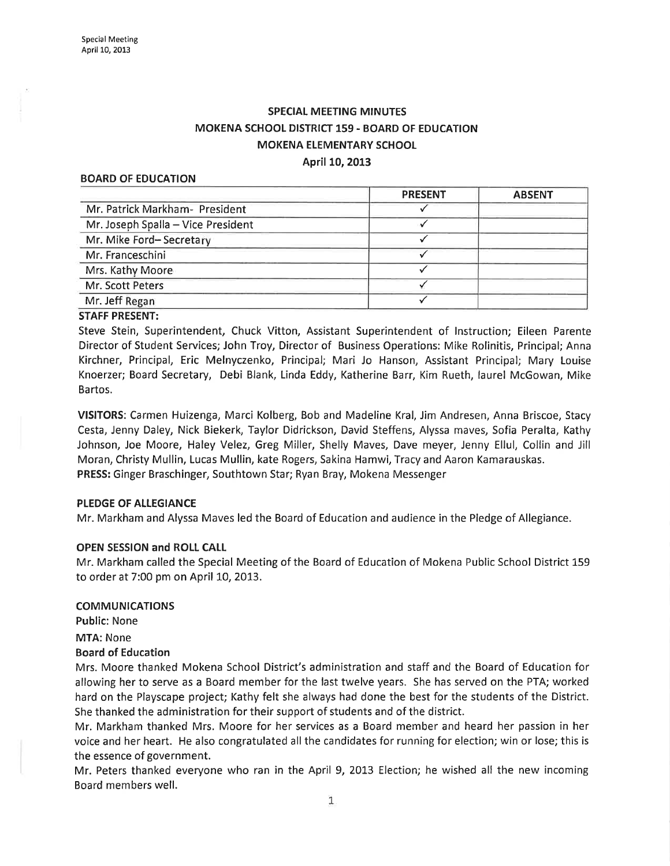# SPECIAL MEETING MINUTES MOKENA SCHOOL DISTRICT 159 - BOARD OF EDUCATION MOKENA ELEMENTARY SCHOOL April 10,2013

#### BOARD OF EDUCATION

|                                    | <b>PRESENT</b> | <b>ABSENT</b> |
|------------------------------------|----------------|---------------|
| Mr. Patrick Markham- President     |                |               |
| Mr. Joseph Spalla - Vice President |                |               |
| Mr. Mike Ford-Secretary            |                |               |
| Mr. Franceschini                   |                |               |
| Mrs. Kathy Moore                   |                |               |
| Mr. Scott Peters                   |                |               |
| Mr. Jeff Regan                     |                |               |
|                                    |                |               |

### STAFF PRESENT:

Steve Stein, Superintendent, Chuck Vitton, Assistant Superintendent of lnstruction; Eileen Parente Director of Student Services; John Troy, Director of Business Operations: Mike Rolinitis, Principal; Anna Kirchner, Principal, Eric Melnyczenko, Principal; Mari Jo Hanson, Assistant Principal; Mary Louise Knoerzer; Board Secretary, Debi Blank, Linda Eddy, Katherine Barr, Kim Rueth, laurel McGowan, Mike Bartos.

VISITORS: Carmen Huizenga, Marci Kolberg, Bob and Madeline Kral, Jim Andresen, Anna Briscoe, Stacy Cesta, Jenny Daley, Nick Biekerk, Taylor Didrickson, David Steffens, Alyssa maves, Sofia Peralta, Kathy Johnson, Joe Moore, Haley Velez, Greg Miller, Shelly Maves, Dave meyer, Jenny Ellul, Collin and Jill Moran, Christy Mullin, Lucas Mullin, kate Rogers, Sakina Hamwi, Tracy and Aaron Kamarauskas. PRESS: Ginger Braschinger, Southtown Star; Ryan Bray, Mokena Messenger

### PLEDGE OF ALLEGIANCE

Mr. Markham and Alyssa Maves led the Board of Education and audience in the Pledge of Allegiance.

### OPEN SESSION and ROLL CAIL

Mr. Markham called the Special Meeting of the Board of Education of Mokena Public School District 159 to order at 7:00 pm on April 10, 2013.

### COMMUNlCATIONS

Public: None

MTA: None

### Board of Education

Mrs. Moore thanked Mokena School District's administration and staff and the Board of Education for allowing her to serve as a Board member for the last twelve years. She has served on the PTA; worked hard on the Playscape project; Kathy felt she always had done the best for the students of the District. She thanked the administration for their support of students and of the district.

Mr. Markham thanked Mrs. Moore for her services as a Board member and heard her passion in her voice and her heart. He also congratulated allthe candidates for running for election; win or lose; this is the essence of government.

Mr. Peters thanked everyone who ran in the April 9, 2013 Election; he wished all the new incoming Board members well.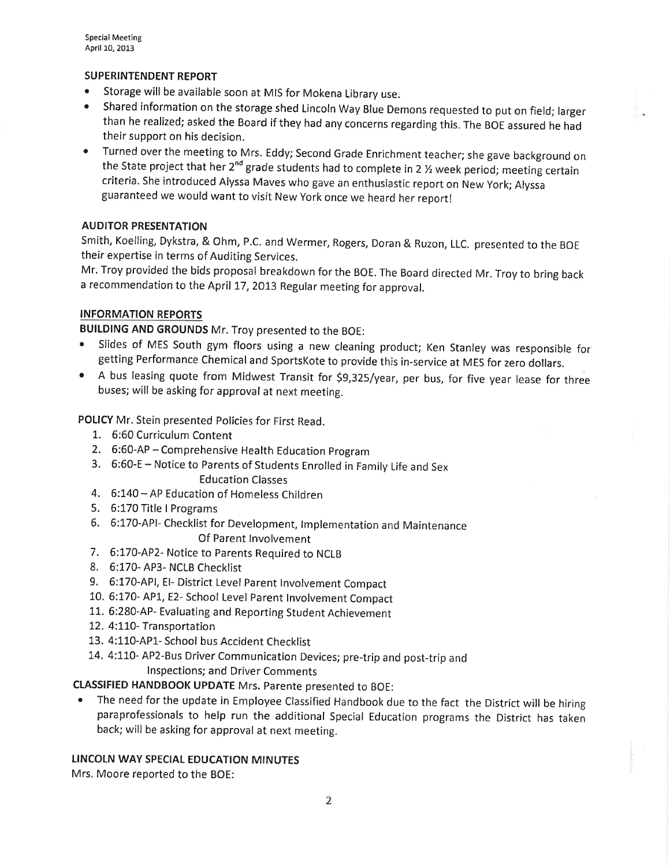# SUPERINTENDENT REPORT

- **.** Storage will be available soon at MIS for Mokena Library use.
- o Shared information on the storage shed Lincoln Way Blue Demons requested to put on field; larger than he realized; asked the Board if they had any concerns regarding this. The BOE assured he had their support on his decision.
- o Turned overthe meeting to Mrs. Eddy; Second Grade Enrichment teacher; she gave background on the State project that her 2<sup>nd</sup> grade students had to complete in 2  $\frac{1}{2}$  week period; meeting certain criteria. She introduced Alyssa Maves who gave an enthusiastic report on New york; Alyssa guaranteed we would want to visit New york once we heard her report!

# AUDITOR PRESENTATION

Smith, Koelling, Dykstra, & Ohm, P.C. and Wermer, Rogers, Doran & Ruzon, LLC. presented to the BoE their expertise in terms of Auditing Services.

Mr. Troy provided the bids proposal breakdown for the BOE. The Board directed Mr. Troy to bring back a recommendation to the April 17,2013 Regular meeting for approval.

### INFORMATION REPORTS

BUILDING AND GROUNDS Mr. Troy presented to the BOE:

- ' Slides of MES South gym floors using a new cleaning product; Ken Stanley was responsible for getting Performance Chemical and SportsKote to provide this in-service at MES for zero dollars.
- A bus leasing quote from Midwest Transit for \$9,325/year, per bus, for five year lease for three buses; will be asking for approval at next meeting.

POLICY Mr. Stein presented Policies for First Read.

- 1.. 6:60 Curriculum Content
- 2. 6:60-AP Comprehensive Health Education program
- 3. 6:60-E Notice to Parents of students Enrolled in Family Life and sex

Education Classes

- 4. 6:140 AP Education of Homeless Children
- 5. 6:170 Title I Programs
- 6. 6:170-APl- checklist for Development, lmplementation and Maintenance Of Parent lnvolvement
- 7. 6:170-AP2- Notice to parents Required to NCLB
- 8. 6:170- AP3- NCLB Checklist
- 9. 6:170-API, EI- District Level Parent Involvement Compact
- 10. 6:170- AP1.,E2- School Level Parent lnvolvement Compact
- 11. 6:280-AP- Evaluating and Reporting Student Achievement
- 12. 4:110- Transportation
- 13. 4:110-APL- School bus Accident Checklist
- 14. 4:110- AP2-Bus Driver Communication Devices; pre-trip and post-trip and lnspections; and Driver Comments

CLASSIFIED HANDBOOK UPDATE Mrs. Parente presented to BOE:

The need for the update in Employee Classified Handbook due to the fact the District will be hiring paraprofessionals to help run the additional Special Education programs the District has taken back; will be asking for approval at next meeting.

# LINCOLN WAY SPECIAL EDUCATION MINUTES

Mrs. Moore reported to the BOE: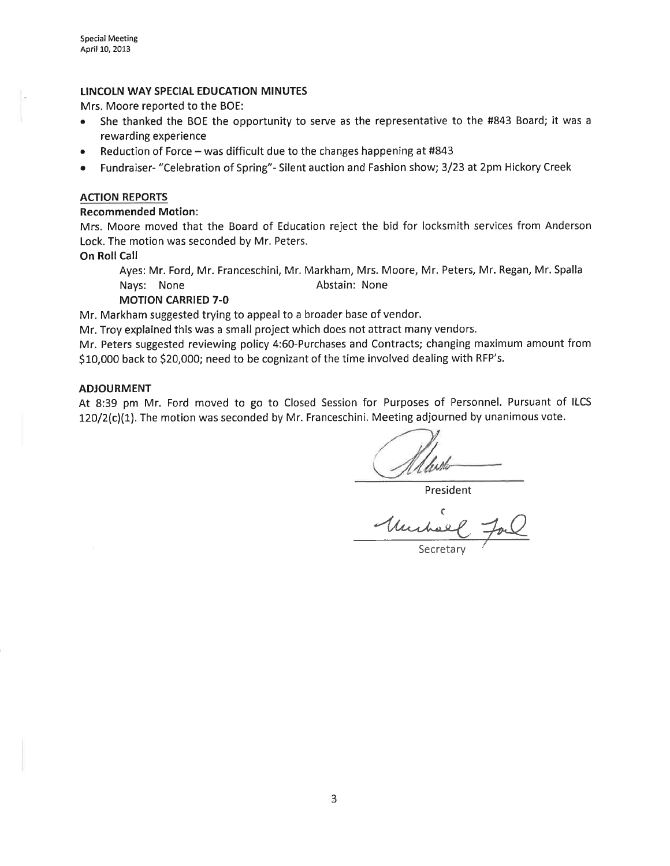### LINCOLN WAY SPECIAL EDUCATION MINUTES

Mrs. Moore reported to the BOE:

- She thanked the BOE the opportunity to serve as the representative to the #843 Board; it was a rewarding experience
- Reduction of Force was difficult due to the changes happening at #843
- Fundraiser- "Celebration of Spring" Silent auction and Fashion show; 3/23 at 2pm Hickory Creek

### ACTION REPORTS

### Recommended Motion:

Mrs. Moore moved that the Board of Education reject the bid for locksmith services from Anderson Lock. The motion was seconded by Mr. Peters.

### On Roll Call

Ayes: Mr. Ford, Mr. Franceschini, Mr. Markham, Mrs. Moore, Mr. Peters, Mr. Regan, Mr.Spalla Nays: None **Abstain:** None

### MOTION CARRIED 7-O

Mr. Markham suggested trying to appeal to a broader base of vendor.

Mr. Troy explained this was a small project which does not attract many vendors.

Mr. Peters suggested reviewing policy 4:60-Purchases and Contracts; changing maximum amount from \$10,000 back to \$20,000; need to be cognizant of the time involved dealing with RFP's.

### ADJOURMENT

At 8:39 pm Mr. Ford moved to go to Closed Session for Purposes of Personnel. Pursuant of ILCS 12O/2(c)(1). The motion was seconded by Mr. Franceschini. Meeting adjourned by unanimous vote.

President

C Murhel Forl

Secretary